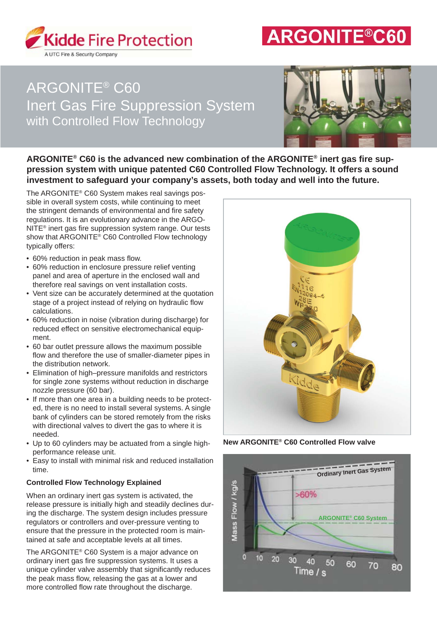

# **ARGONITE®C60**

# ARGONITE® C60 Inert Gas Fire Suppression System with Controlled Flow Technology



ARGONITE<sup>®</sup> C60 is the advanced new combination of the ARGONITE<sup>®</sup> inert gas fire sup**pression system with unique patented C60 Controlled Flow Technology. It offers a sound investment to safeguard your company's assets, both today and well into the future.**

The ARGONITE® C60 System makes real savings possible in overall system costs, while continuing to meet the stringent demands of environmental and fire safety regulations. It is an evolutionary advance in the ARGO-NITE<sup>®</sup> inert gas fire suppression system range. Our tests show that ARGONITE® C60 Controlled Flow technology typically offers:

- 60% reduction in peak mass flow.
- 60% reduction in enclosure pressure relief venting panel and area of aperture in the enclosed wall and therefore real savings on vent installation costs.
- Vent size can be accurately determined at the quotation stage of a project instead of relying on hydraulic flow calculations.
- 60% reduction in noise (vibration during discharge) for reduced effect on sensitive electromechanical equipment.
- 60 bar outlet pressure allows the maximum possible flow and therefore the use of smaller-diameter pipes in the distribution network.
- Elimination of high–pressure manifolds and restrictors for single zone systems without reduction in discharge nozzle pressure (60 bar).
- If more than one area in a building needs to be protected, there is no need to install several systems. A single bank of cylinders can be stored remotely from the risks with directional valves to divert the gas to where it is needed.
- Up to 60 cylinders may be actuated from a single highperformance release unit.
- Easy to install with minimal risk and reduced installation

# **Controlled Flow Technology Explained**

When an ordinary inert gas system is activated, the release pressure is initially high and steadily declines during the discharge. The system design includes pressure regulators or controllers and over-pressure venting to ensure that the pressure in the protected room is maintained at safe and acceptable levels at all times.

The ARGONITE® C60 System is a major advance on ordinary inert gas fire suppression systems. It uses a unique cylinder valve assembly that significantly reduces the peak mass flow, releasing the gas at a lower and more controlled flow rate throughout the discharge.



**New ARGONITE® C60 Controlled Flow valve**